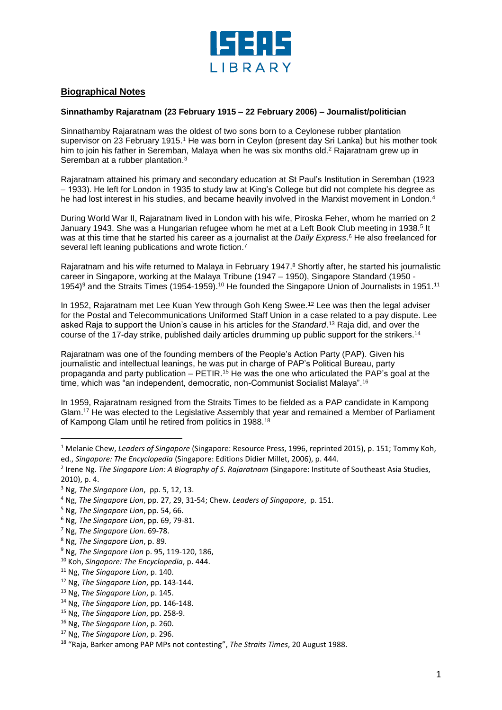

## **Biographical Notes**

## **Sinnathamby Rajaratnam (23 February 1915 – 22 February 2006) – Journalist/politician**

Sinnathamby Rajaratnam was the oldest of two sons born to a Ceylonese rubber plantation supervisor on 23 February 1915. <sup>1</sup> He was born in Ceylon (present day Sri Lanka) but his mother took him to join his father in Seremban, Malaya when he was six months old.<sup>2</sup> Rajaratnam grew up in Seremban at a rubber plantation.<sup>3</sup>

Rajaratnam attained his primary and secondary education at St Paul's Institution in Seremban (1923 – 1933). He left for London in 1935 to study law at King's College but did not complete his degree as he had lost interest in his studies, and became heavily involved in the Marxist movement in London.<sup>4</sup>

During World War II, Rajaratnam lived in London with his wife, Piroska Feher, whom he married on 2 January 1943. She was a Hungarian refugee whom he met at a Left Book Club meeting in 1938.<sup>5</sup> It was at this time that he started his career as a journalist at the *Daily Express*. <sup>6</sup> He also freelanced for several left leaning publications and wrote fiction. 7

Rajaratnam and his wife returned to Malaya in February 1947. <sup>8</sup> Shortly after, he started his journalistic career in Singapore, working at the Malaya Tribune (1947 – 1950), Singapore Standard (1950 - 1954)<sup>9</sup> and the Straits Times (1954-1959).<sup>10</sup> He founded the Singapore Union of Journalists in 1951.<sup>11</sup>

In 1952, Rajaratnam met Lee Kuan Yew through Goh Keng Swee. <sup>12</sup> Lee was then the legal adviser for the Postal and Telecommunications Uniformed Staff Union in a case related to a pay dispute. Lee asked Raja to support the Union's cause in his articles for the *Standard*. <sup>13</sup> Raja did, and over the course of the 17-day strike, published daily articles drumming up public support for the strikers.<sup>14</sup>

Rajaratnam was one of the founding members of the People's Action Party (PAP). Given his journalistic and intellectual leanings, he was put in charge of PAP's Political Bureau, party propaganda and party publication – PETIR.<sup>15</sup> He was the one who articulated the PAP's goal at the time, which was "an independent, democratic, non-Communist Socialist Malaya". 16

In 1959, Rajaratnam resigned from the Straits Times to be fielded as a PAP candidate in Kampong Glam.<sup>17</sup> He was elected to the Legislative Assembly that year and remained a Member of Parliament of Kampong Glam until he retired from politics in 1988.<sup>18</sup>

l

- <sup>9</sup> Ng, *The Singapore Lion* p. 95, 119-120, 186,
- <sup>10</sup> Koh, *Singapore: The Encyclopedia*, p. 444.

- <sup>12</sup> Ng, *The Singapore Lion*, pp. 143-144.
- <sup>13</sup> Ng, *The Singapore Lion*, p. 145.
- <sup>14</sup> Ng, *The Singapore Lion*, pp. 146-148.
- <sup>15</sup> Ng, *The Singapore Lion*, pp. 258-9.

<sup>17</sup> Ng, *The Singapore Lion*, p. 296.

<sup>1</sup> Melanie Chew, *Leaders of Singapore* (Singapore: Resource Press, 1996, reprinted 2015), p. 151; Tommy Koh, ed., *Singapore: The Encyclopedia* (Singapore: Editions Didier Millet, 2006), p. 444.

<sup>2</sup> Irene Ng. *The Singapore Lion: A Biography of S. Rajaratnam* (Singapore: Institute of Southeast Asia Studies, 2010), p. 4.

<sup>3</sup> Ng, *The Singapore Lion*, pp. 5, 12, 13.

<sup>4</sup> Ng, *The Singapore Lion*, pp. 27, 29, 31-54; Chew. *Leaders of Singapore*, p. 151.

<sup>5</sup> Ng, *The Singapore Lion*, pp. 54, 66.

<sup>6</sup> Ng, *The Singapore Lion*, pp. 69, 79-81.

<sup>7</sup> Ng, *The Singapore Lion*. 69-78.

<sup>8</sup> Ng, *The Singapore Lion*, p. 89.

<sup>11</sup> Ng, *The Singapore Lion*, p. 140.

<sup>16</sup> Ng, *The Singapore Lion*, p. 260.

<sup>18</sup> "Raja, Barker among PAP MPs not contesting", *The Straits Times*, 20 August 1988.